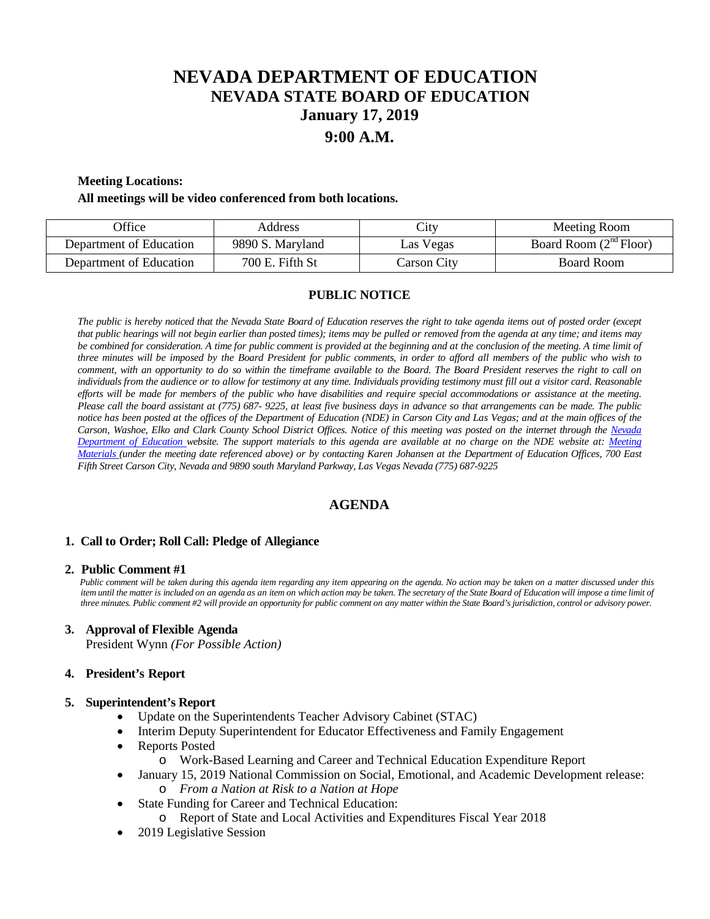# **NEVADA DEPARTMENT OF EDUCATION NEVADA STATE BOARD OF EDUCATION January 17, 2019 9:00 A.M.**

#### **Meeting Locations:**

#### **All meetings will be video conferenced from both locations.**

| <b>Office</b>           | Address          | City        | Meeting Room             |
|-------------------------|------------------|-------------|--------------------------|
| Department of Education | 9890 S. Maryland | Las Vegas   | Board Room $(2nd Floor)$ |
| Department of Education | 700 E. Fifth St  | Carson City | Board Room               |

## **PUBLIC NOTICE**

*The public is hereby noticed that the Nevada State Board of Education reserves the right to take agenda items out of posted order (except that public hearings will not begin earlier than posted times); items may be pulled or removed from the agenda at any time; and items may* be combined for consideration. A time for public comment is provided at the beginning and at the conclusion of the meeting. A time limit of *three minutes will be imposed by the Board President for public comments, in order to afford all members of the public who wish to comment, with an opportunity to do so within the timeframe available to the Board. The Board President reserves the right to call on individuals from the audience or to allow for testimony at any time. Individuals providing testimony must fill out a visitor card. Reasonable efforts will be made for members of the public who have disabilities and require special accommodations or assistance at the meeting. Please call the board assistant at (775) 687- 9225, at least five business days in advance so that arrangements can be made. The public notice has been posted at the offices of the Department of Education (NDE) in Carson City and Las Vegas; and at the main offices of the Carson, Washoe, Elko and Clark County School District Offices. Notice of this meeting was posted on the internet through the Nevada Department of Education website. The support materials to this agenda are available at no charge on the NDE website at: [Meeting](http://www.doe.nv.gov/Boards_Commissions_Councils/State_Board_of_Education/MeetingMaterials/)  [Materials \(](http://www.doe.nv.gov/Boards_Commissions_Councils/State_Board_of_Education/MeetingMaterials/)under the meeting date referenced above) or by contacting Karen Johansen at the Department of Education Offices, 700 East Fifth Street Carson City, Nevada and 9890 south Maryland Parkway, Las Vegas Nevada (775) 687-9225*

# **AGENDA**

#### **1. Call to Order; Roll Call: Pledge of Allegiance**

#### **2. Public Comment #1**

 *Public comment will be taken during this agenda item regarding any item appearing on the agenda. No action may be taken on a matter discussed under this item until the matter is included on an agenda as an item on which action may be taken. The secretary of the State Board of Education will impose a time limit of three minutes. Public comment #2 will provide an opportunity for public comment on any matter within the State Board's jurisdiction, control or advisory power.*

#### **3. Approval of Flexible Agenda**

President Wynn *(For Possible Action)*

#### **4. President's Report**

#### **5. Superintendent's Report**

- Update on the Superintendents Teacher Advisory Cabinet (STAC)
- Interim Deputy Superintendent for Educator Effectiveness and Family Engagement
- Reports Posted
	- o Work-Based Learning and Career and Technical Education Expenditure Report
- January 15, 2019 National Commission on Social, Emotional, and Academic Development release: o *From a Nation at Risk to a Nation at Hope*
- State Funding for Career and Technical Education:
- o Report of State and Local Activities and Expenditures Fiscal Year 2018
- 2019 Legislative Session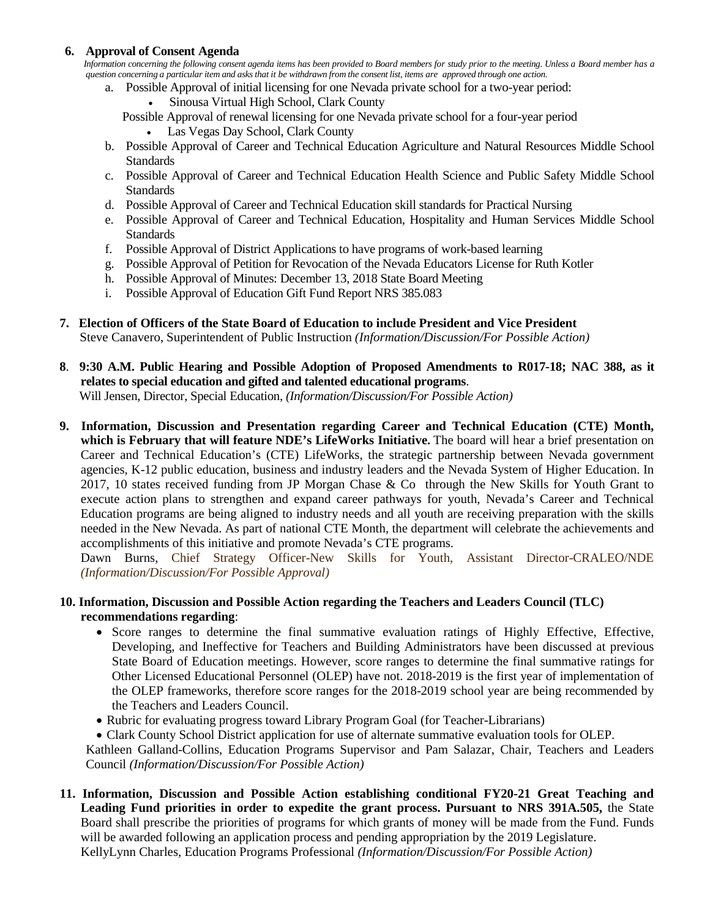# **6. Approval of Consent Agenda**

 *Information concerning the following consent agenda items has been provided to Board members for study prior to the meeting. Unless a Board member has a question concerning a particular item and asks that it be withdrawn from the consent list, items are approved through one action.*

- a. Possible Approval of initial licensing for one Nevada private school for a two-year period:
	- Sinousa Virtual High School, Clark County

 Possible Approval of renewal licensing for one Nevada private school for a four-year period • Las Vegas Day School, Clark County

- b. Possible Approval of Career and Technical Education Agriculture and Natural Resources Middle School **Standards**
- c. Possible Approval of Career and Technical Education Health Science and Public Safety Middle School **Standards**
- d. Possible Approval of Career and Technical Education skill standards for Practical Nursing
- e. Possible Approval of Career and Technical Education, Hospitality and Human Services Middle School **Standards**
- f. Possible Approval of District Applications to have programs of work-based learning
- g. Possible Approval of Petition for Revocation of the Nevada Educators License for Ruth Kotler
- h. Possible Approval of Minutes: December 13, 2018 State Board Meeting
- i. Possible Approval of Education Gift Fund Report NRS 385.083
- **7. Election of Officers of the State Board of Education to include President and Vice President**

Steve Canavero, Superintendent of Public Instruction *(Information/Discussion/For Possible Action)*

**8**. **9:30 A.M. Public Hearing and Possible Adoption of Proposed Amendments to R017-18; NAC 388, as it relates to special education and gifted and talented educational programs**.

Will Jensen, Director, Special Education, *(Information/Discussion/For Possible Action)*

**9. Information, Discussion and Presentation regarding Career and Technical Education (CTE) Month, which is February that will feature NDE's LifeWorks Initiative.** The board will hear a brief presentation on Career and Technical Education's (CTE) LifeWorks, the strategic partnership between Nevada government agencies, K-12 public education, business and industry leaders and the Nevada System of Higher Education. In 2017, 10 states received funding from JP Morgan Chase & Co through the New Skills for Youth Grant to execute action plans to strengthen and expand career pathways for youth, Nevada's Career and Technical Education programs are being aligned to industry needs and all youth are receiving preparation with the skills needed in the New Nevada. As part of national CTE Month, the department will celebrate the achievements and accomplishments of this initiative and promote Nevada's CTE programs.

Dawn Burns, Chief Strategy Officer-New Skills for Youth, Assistant Director-CRALEO/NDE *(Information/Discussion/For Possible Approval)*

# **10. Information, Discussion and Possible Action regarding the Teachers and Leaders Council (TLC) recommendations regarding**:

- Score ranges to determine the final summative evaluation ratings of Highly Effective, Effective, Developing, and Ineffective for Teachers and Building Administrators have been discussed at previous State Board of Education meetings. However, score ranges to determine the final summative ratings for Other Licensed Educational Personnel (OLEP) have not. 2018-2019 is the first year of implementation of the OLEP frameworks, therefore score ranges for the 2018-2019 school year are being recommended by the Teachers and Leaders Council.
- Rubric for evaluating progress toward Library Program Goal (for Teacher-Librarians)
- Clark County School District application for use of alternate summative evaluation tools for OLEP.

Kathleen Galland-Collins, Education Programs Supervisor and Pam Salazar, Chair, Teachers and Leaders Council *(Information/Discussion/For Possible Action)*

**11. Information, Discussion and Possible Action establishing conditional FY20-21 Great Teaching and Leading Fund priorities in order to expedite the grant process. Pursuant to NRS 391A.505,** the State Board shall prescribe the priorities of programs for which grants of money will be made from the Fund. Funds will be awarded following an application process and pending appropriation by the 2019 Legislature. KellyLynn Charles, Education Programs Professional *(Information/Discussion/For Possible Action)*